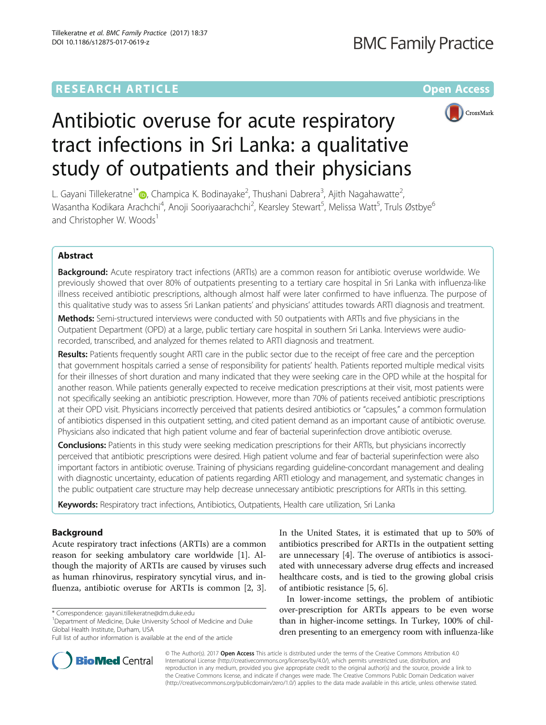# **RESEARCH ARTICLE Example 2014 12:30 The Contract of Contract ACCESS**



# Antibiotic overuse for acute respiratory tract infections in Sri Lanka: a qualitative study of outpatients and their physicians

L. Gayani Tillekeratne<sup>1[\\*](http://orcid.org/0000-0001-6012-7271)</sup>�, Champica K. Bodinayake<sup>2</sup>, Thushani Dabrera<sup>3</sup>, Ajith Nagahawatte<sup>2</sup> , Wasantha Kodikara Arachchi<sup>4</sup>, Anoji Sooriyaarachchi<sup>2</sup>, Kearsley Stewart<sup>5</sup>, Melissa Watt<sup>5</sup>, Truls Østbye<sup>6</sup> and Christopher W. Woods<sup>1</sup>

## Abstract

**Background:** Acute respiratory tract infections (ARTIs) are a common reason for antibiotic overuse worldwide. We previously showed that over 80% of outpatients presenting to a tertiary care hospital in Sri Lanka with influenza-like illness received antibiotic prescriptions, although almost half were later confirmed to have influenza. The purpose of this qualitative study was to assess Sri Lankan patients' and physicians' attitudes towards ARTI diagnosis and treatment.

Methods: Semi-structured interviews were conducted with 50 outpatients with ARTIs and five physicians in the Outpatient Department (OPD) at a large, public tertiary care hospital in southern Sri Lanka. Interviews were audiorecorded, transcribed, and analyzed for themes related to ARTI diagnosis and treatment.

Results: Patients frequently sought ARTI care in the public sector due to the receipt of free care and the perception that government hospitals carried a sense of responsibility for patients' health. Patients reported multiple medical visits for their illnesses of short duration and many indicated that they were seeking care in the OPD while at the hospital for another reason. While patients generally expected to receive medication prescriptions at their visit, most patients were not specifically seeking an antibiotic prescription. However, more than 70% of patients received antibiotic prescriptions at their OPD visit. Physicians incorrectly perceived that patients desired antibiotics or "capsules," a common formulation of antibiotics dispensed in this outpatient setting, and cited patient demand as an important cause of antibiotic overuse. Physicians also indicated that high patient volume and fear of bacterial superinfection drove antibiotic overuse.

Conclusions: Patients in this study were seeking medication prescriptions for their ARTIs, but physicians incorrectly perceived that antibiotic prescriptions were desired. High patient volume and fear of bacterial superinfection were also important factors in antibiotic overuse. Training of physicians regarding guideline-concordant management and dealing with diagnostic uncertainty, education of patients regarding ARTI etiology and management, and systematic changes in the public outpatient care structure may help decrease unnecessary antibiotic prescriptions for ARTIs in this setting.

Keywords: Respiratory tract infections, Antibiotics, Outpatients, Health care utilization, Sri Lanka

## Background

Acute respiratory tract infections (ARTIs) are a common reason for seeking ambulatory care worldwide [[1](#page-8-0)]. Although the majority of ARTIs are caused by viruses such as human rhinovirus, respiratory syncytial virus, and influenza, antibiotic overuse for ARTIs is common [\[2](#page-8-0), [3](#page-8-0)].

Department of Medicine, Duke University School of Medicine and Duke Global Health Institute, Durham, USA



In lower-income settings, the problem of antibiotic over-prescription for ARTIs appears to be even worse than in higher-income settings. In Turkey, 100% of children presenting to an emergency room with influenza-like



© The Author(s). 2017 **Open Access** This article is distributed under the terms of the Creative Commons Attribution 4.0 International License [\(http://creativecommons.org/licenses/by/4.0/](http://creativecommons.org/licenses/by/4.0/)), which permits unrestricted use, distribution, and reproduction in any medium, provided you give appropriate credit to the original author(s) and the source, provide a link to the Creative Commons license, and indicate if changes were made. The Creative Commons Public Domain Dedication waiver [\(http://creativecommons.org/publicdomain/zero/1.0/](http://creativecommons.org/publicdomain/zero/1.0/)) applies to the data made available in this article, unless otherwise stated.

<sup>\*</sup> Correspondence: [gayani.tillekeratne@dm.duke.edu](mailto:gayani.tillekeratne@dm.duke.edu) <sup>1</sup>

Full list of author information is available at the end of the article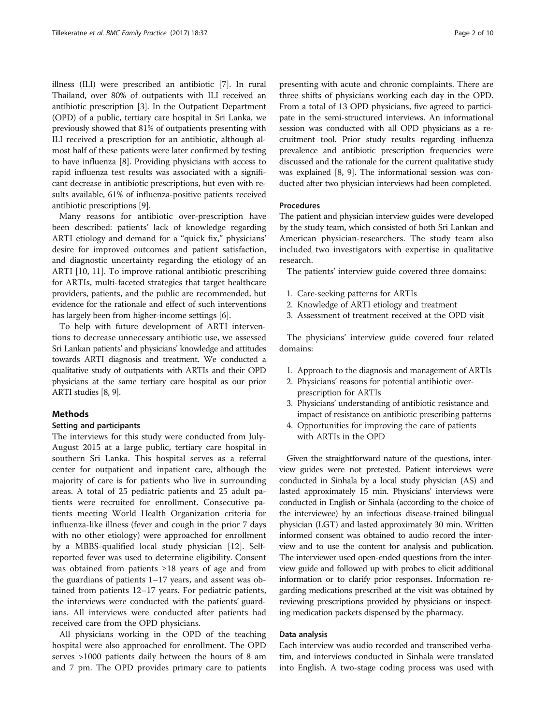illness (ILI) were prescribed an antibiotic [\[7\]](#page-8-0). In rural Thailand, over 80% of outpatients with ILI received an antibiotic prescription [[3\]](#page-8-0). In the Outpatient Department (OPD) of a public, tertiary care hospital in Sri Lanka, we previously showed that 81% of outpatients presenting with ILI received a prescription for an antibiotic, although almost half of these patients were later confirmed by testing to have influenza [\[8](#page-8-0)]. Providing physicians with access to rapid influenza test results was associated with a significant decrease in antibiotic prescriptions, but even with results available, 61% of influenza-positive patients received antibiotic prescriptions [\[9](#page-8-0)].

Many reasons for antibiotic over-prescription have been described: patients' lack of knowledge regarding ARTI etiology and demand for a "quick fix," physicians' desire for improved outcomes and patient satisfaction, and diagnostic uncertainty regarding the etiology of an ARTI [\[10](#page-8-0), [11](#page-8-0)]. To improve rational antibiotic prescribing for ARTIs, multi-faceted strategies that target healthcare providers, patients, and the public are recommended, but evidence for the rationale and effect of such interventions has largely been from higher-income settings [\[6\]](#page-8-0).

To help with future development of ARTI interventions to decrease unnecessary antibiotic use, we assessed Sri Lankan patients' and physicians' knowledge and attitudes towards ARTI diagnosis and treatment. We conducted a qualitative study of outpatients with ARTIs and their OPD physicians at the same tertiary care hospital as our prior ARTI studies [\[8, 9\]](#page-8-0).

## Methods

## Setting and participants

The interviews for this study were conducted from July-August 2015 at a large public, tertiary care hospital in southern Sri Lanka. This hospital serves as a referral center for outpatient and inpatient care, although the majority of care is for patients who live in surrounding areas. A total of 25 pediatric patients and 25 adult patients were recruited for enrollment. Consecutive patients meeting World Health Organization criteria for influenza-like illness (fever and cough in the prior 7 days with no other etiology) were approached for enrollment by a MBBS-qualified local study physician [\[12](#page-8-0)]. Selfreported fever was used to determine eligibility. Consent was obtained from patients ≥18 years of age and from the guardians of patients 1–17 years, and assent was obtained from patients 12–17 years. For pediatric patients, the interviews were conducted with the patients' guardians. All interviews were conducted after patients had received care from the OPD physicians.

All physicians working in the OPD of the teaching hospital were also approached for enrollment. The OPD serves >1000 patients daily between the hours of 8 am and 7 pm. The OPD provides primary care to patients presenting with acute and chronic complaints. There are three shifts of physicians working each day in the OPD. From a total of 13 OPD physicians, five agreed to participate in the semi-structured interviews. An informational session was conducted with all OPD physicians as a recruitment tool. Prior study results regarding influenza prevalence and antibiotic prescription frequencies were discussed and the rationale for the current qualitative study was explained [\[8, 9\]](#page-8-0). The informational session was conducted after two physician interviews had been completed.

## Procedures

The patient and physician interview guides were developed by the study team, which consisted of both Sri Lankan and American physician-researchers. The study team also included two investigators with expertise in qualitative research.

The patients' interview guide covered three domains:

- 1. Care-seeking patterns for ARTIs
- 2. Knowledge of ARTI etiology and treatment
- 3. Assessment of treatment received at the OPD visit

The physicians' interview guide covered four related domains:

- 1. Approach to the diagnosis and management of ARTIs
- 2. Physicians' reasons for potential antibiotic overprescription for ARTIs
- 3. Physicians' understanding of antibiotic resistance and impact of resistance on antibiotic prescribing patterns
- 4. Opportunities for improving the care of patients with ARTIs in the OPD

Given the straightforward nature of the questions, interview guides were not pretested. Patient interviews were conducted in Sinhala by a local study physician (AS) and lasted approximately 15 min. Physicians' interviews were conducted in English or Sinhala (according to the choice of the interviewee) by an infectious disease-trained bilingual physician (LGT) and lasted approximately 30 min. Written informed consent was obtained to audio record the interview and to use the content for analysis and publication. The interviewer used open-ended questions from the interview guide and followed up with probes to elicit additional information or to clarify prior responses. Information regarding medications prescribed at the visit was obtained by reviewing prescriptions provided by physicians or inspecting medication packets dispensed by the pharmacy.

## Data analysis

Each interview was audio recorded and transcribed verbatim, and interviews conducted in Sinhala were translated into English. A two-stage coding process was used with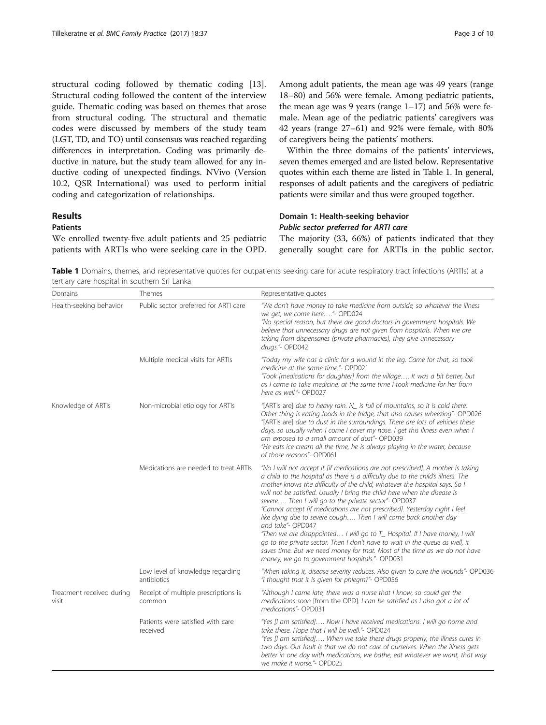structural coding followed by thematic coding [\[13](#page-8-0)]. Structural coding followed the content of the interview guide. Thematic coding was based on themes that arose from structural coding. The structural and thematic codes were discussed by members of the study team (LGT, TD, and TO) until consensus was reached regarding differences in interpretation. Coding was primarily deductive in nature, but the study team allowed for any inductive coding of unexpected findings. NVivo (Version 10.2, QSR International) was used to perform initial coding and categorization of relationships.

## Results

#### **Patients**

We enrolled twenty-five adult patients and 25 pediatric patients with ARTIs who were seeking care in the OPD. Among adult patients, the mean age was 49 years (range 18–80) and 56% were female. Among pediatric patients, the mean age was 9 years (range  $1-17$ ) and 56% were female. Mean age of the pediatric patients' caregivers was 42 years (range 27–61) and 92% were female, with 80% of caregivers being the patients' mothers.

Within the three domains of the patients' interviews, seven themes emerged and are listed below. Representative quotes within each theme are listed in Table 1. In general, responses of adult patients and the caregivers of pediatric patients were similar and thus were grouped together.

## Domain 1: Health-seeking behavior Public sector preferred for ARTI care

The majority (33, 66%) of patients indicated that they generally sought care for ARTIs in the public sector.

Table 1 Domains, themes, and representative quotes for outpatients seeking care for acute respiratory tract infections (ARTIs) at a tertiary care hospital in southern Sri Lanka

| Domains                            | Themes                                          | Representative quotes                                                                                                                                                                                                                                                                                                                                                                                                                                                                                                                                                                                                                                                                                                                                                                                                                                         |
|------------------------------------|-------------------------------------------------|---------------------------------------------------------------------------------------------------------------------------------------------------------------------------------------------------------------------------------------------------------------------------------------------------------------------------------------------------------------------------------------------------------------------------------------------------------------------------------------------------------------------------------------------------------------------------------------------------------------------------------------------------------------------------------------------------------------------------------------------------------------------------------------------------------------------------------------------------------------|
| Health-seeking behavior            | Public sector preferred for ARTI care           | "We don't have money to take medicine from outside, so whatever the illness<br>we get, we come here"- OPD024<br>"No special reason, but there are good doctors in government hospitals. We<br>believe that unnecessary drugs are not given from hospitals. When we are<br>taking from dispensaries (private pharmacies), they give unnecessary<br>drugs."- OPD042                                                                                                                                                                                                                                                                                                                                                                                                                                                                                             |
|                                    | Multiple medical visits for ARTIs               | "Today my wife has a clinic for a wound in the leg. Came for that, so took<br>medicine at the same time."- OPD021<br>"Took [medications for daughter] from the village It was a bit better, but<br>as I came to take medicine, at the same time I took medicine for her from<br>here as well."- OPD027                                                                                                                                                                                                                                                                                                                                                                                                                                                                                                                                                        |
| Knowledge of ARTIs                 | Non-microbial etiology for ARTIs                | "[ARTIs are] due to heavy rain. N_ is full of mountains, so it is cold there.<br>Other thing is eating foods in the fridge, that also causes wheezing"- OPD026<br>"[ARTIs are] due to dust in the surroundings. There are lots of vehicles these<br>days, so usually when I come I cover my nose. I get this illness even when I<br>am exposed to a small amount of dust"- OPD039<br>"He eats ice cream all the time, he is always playing in the water, because<br>of those reasons"- OPD061                                                                                                                                                                                                                                                                                                                                                                 |
|                                    | Medications are needed to treat ARTIs           | "No I will not accept it [if medications are not prescribed]. A mother is taking<br>a child to the hospital as there is a difficulty due to the child's illness. The<br>mother knows the difficulty of the child, whatever the hospital says. So I<br>will not be satisfied. Usually I bring the child here when the disease is<br>severe Then I will go to the private sector"- OPD037<br>"Cannot accept [if medications are not prescribed]. Yesterday night I feel<br>like dying due to severe cough Then I will come back another day<br>and take"- OPD047<br>"Then we are disappointed I will go to T_ Hospital. If I have money, I will<br>go to the private sector. Then I don't have to wait in the queue as well, it<br>saves time. But we need money for that. Most of the time as we do not have<br>money, we go to government hospitals."- OPD031 |
|                                    | Low level of knowledge regarding<br>antibiotics | "When taking it, disease severity reduces. Also given to cure the wounds"- OPD036<br>"I thought that it is given for phlegm?"- OPD056                                                                                                                                                                                                                                                                                                                                                                                                                                                                                                                                                                                                                                                                                                                         |
| Treatment received during<br>visit | Receipt of multiple prescriptions is<br>common  | "Although I came late, there was a nurse that I know, so could get the<br>medications soon [from the OPD]. I can be satisfied as I also got a lot of<br>medications"- OPD031                                                                                                                                                                                                                                                                                                                                                                                                                                                                                                                                                                                                                                                                                  |
|                                    | Patients were satisfied with care<br>received   | "Yes [I am satisfied] Now I have received medications. I will go home and<br>take these. Hope that I will be well."- OPD024<br>"Yes [I am satisfied] When we take these drugs properly, the illness cures in<br>two days. Our fault is that we do not care of ourselves. When the illness gets<br>better in one day with medications, we bathe, eat whatever we want, that way<br>we make it worse."- OPD025                                                                                                                                                                                                                                                                                                                                                                                                                                                  |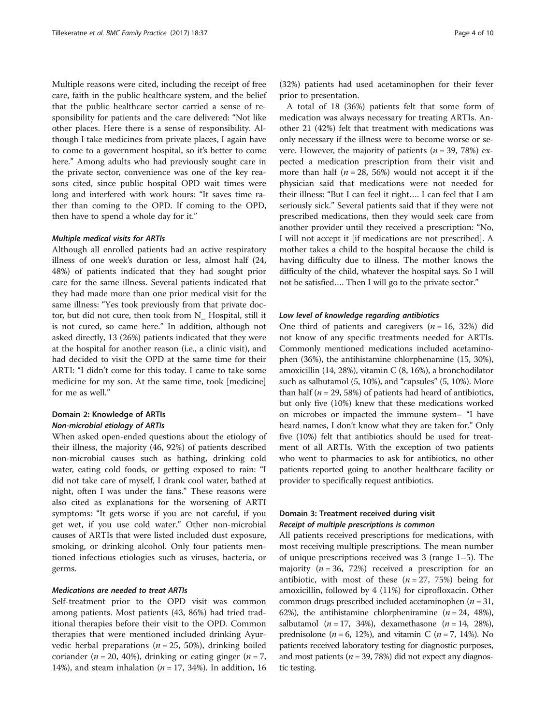Multiple reasons were cited, including the receipt of free care, faith in the public healthcare system, and the belief that the public healthcare sector carried a sense of responsibility for patients and the care delivered: "Not like other places. Here there is a sense of responsibility. Although I take medicines from private places, I again have to come to a government hospital, so it's better to come here." Among adults who had previously sought care in the private sector, convenience was one of the key reasons cited, since public hospital OPD wait times were long and interfered with work hours: "It saves time rather than coming to the OPD. If coming to the OPD, then have to spend a whole day for it."

#### Multiple medical visits for ARTIs

Although all enrolled patients had an active respiratory illness of one week's duration or less, almost half (24, 48%) of patients indicated that they had sought prior care for the same illness. Several patients indicated that they had made more than one prior medical visit for the same illness: "Yes took previously from that private doctor, but did not cure, then took from N\_ Hospital, still it is not cured, so came here." In addition, although not asked directly, 13 (26%) patients indicated that they were at the hospital for another reason (i.e., a clinic visit), and had decided to visit the OPD at the same time for their ARTI: "I didn't come for this today. I came to take some medicine for my son. At the same time, took [medicine] for me as well."

## Domain 2: Knowledge of ARTIs Non-microbial etiology of ARTIs

When asked open-ended questions about the etiology of their illness, the majority (46, 92%) of patients described non-microbial causes such as bathing, drinking cold water, eating cold foods, or getting exposed to rain: "I did not take care of myself, I drank cool water, bathed at night, often I was under the fans." These reasons were also cited as explanations for the worsening of ARTI symptoms: "It gets worse if you are not careful, if you get wet, if you use cold water." Other non-microbial causes of ARTIs that were listed included dust exposure, smoking, or drinking alcohol. Only four patients mentioned infectious etiologies such as viruses, bacteria, or germs.

## Medications are needed to treat ARTIs

Self-treatment prior to the OPD visit was common among patients. Most patients (43, 86%) had tried traditional therapies before their visit to the OPD. Common therapies that were mentioned included drinking Ayurvedic herbal preparations ( $n = 25$ , 50%), drinking boiled coriander ( $n = 20, 40\%$ ), drinking or eating ginger ( $n = 7$ , 14%), and steam inhalation ( $n = 17$ , 34%). In addition, 16

(32%) patients had used acetaminophen for their fever prior to presentation.

A total of 18 (36%) patients felt that some form of medication was always necessary for treating ARTIs. Another 21 (42%) felt that treatment with medications was only necessary if the illness were to become worse or severe. However, the majority of patients ( $n = 39, 78\%$ ) expected a medication prescription from their visit and more than half ( $n = 28$ , 56%) would not accept it if the physician said that medications were not needed for their illness: "But I can feel it right…. I can feel that I am seriously sick." Several patients said that if they were not prescribed medications, then they would seek care from another provider until they received a prescription: "No, I will not accept it [if medications are not prescribed]. A mother takes a child to the hospital because the child is having difficulty due to illness. The mother knows the difficulty of the child, whatever the hospital says. So I will not be satisfied…. Then I will go to the private sector."

#### Low level of knowledge regarding antibiotics

One third of patients and caregivers  $(n = 16, 32%)$  did not know of any specific treatments needed for ARTIs. Commonly mentioned medications included acetaminophen (36%), the antihistamine chlorphenamine (15, 30%), amoxicillin (14, 28%), vitamin C (8, 16%), a bronchodilator such as salbutamol (5, 10%), and "capsules" (5, 10%). More than half ( $n = 29, 58\%$ ) of patients had heard of antibiotics, but only five (10%) knew that these medications worked on microbes or impacted the immune system– "I have heard names, I don't know what they are taken for." Only five (10%) felt that antibiotics should be used for treatment of all ARTIs. With the exception of two patients who went to pharmacies to ask for antibiotics, no other patients reported going to another healthcare facility or provider to specifically request antibiotics.

## Domain 3: Treatment received during visit Receipt of multiple prescriptions is common

All patients received prescriptions for medications, with most receiving multiple prescriptions. The mean number of unique prescriptions received was 3 (range 1–5). The majority ( $n = 36$ , 72%) received a prescription for an antibiotic, with most of these  $(n = 27, 75%)$  being for amoxicillin, followed by 4 (11%) for ciprofloxacin. Other common drugs prescribed included acetaminophen ( $n = 31$ , 62%), the antihistamine chlorpheniramine  $(n = 24, 48\%)$ , salbutamol (*n* = 17, 34%), dexamethasone (*n* = 14, 28%), prednisolone ( $n = 6$ , 12%), and vitamin C ( $n = 7$ , 14%). No patients received laboratory testing for diagnostic purposes, and most patients ( $n = 39, 78\%$ ) did not expect any diagnostic testing.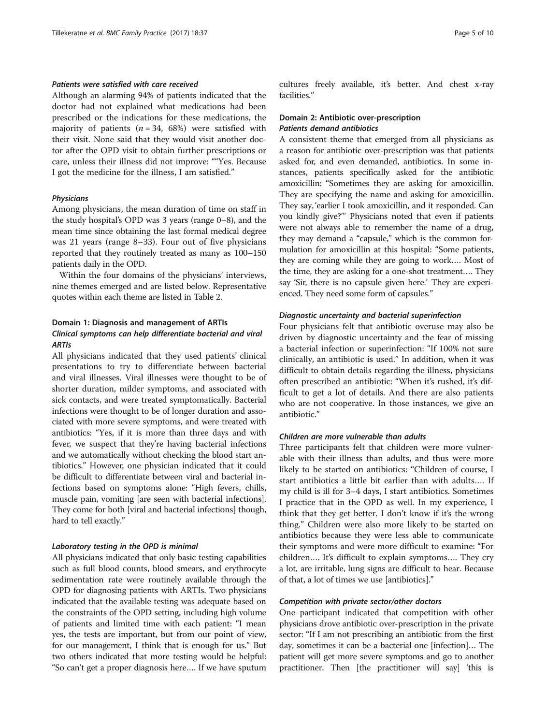## Patients were satisfied with care received

Although an alarming 94% of patients indicated that the doctor had not explained what medications had been prescribed or the indications for these medications, the majority of patients ( $n = 34$ , 68%) were satisfied with their visit. None said that they would visit another doctor after the OPD visit to obtain further prescriptions or care, unless their illness did not improve: ""Yes. Because I got the medicine for the illness, I am satisfied."

## **Physicians**

Among physicians, the mean duration of time on staff in the study hospital's OPD was 3 years (range 0–8), and the mean time since obtaining the last formal medical degree was 21 years (range 8–33). Four out of five physicians reported that they routinely treated as many as 100–150 patients daily in the OPD.

Within the four domains of the physicians' interviews, nine themes emerged and are listed below. Representative quotes within each theme are listed in Table [2](#page-5-0).

## Domain 1: Diagnosis and management of ARTIs Clinical symptoms can help differentiate bacterial and viral ARTIs

All physicians indicated that they used patients' clinical presentations to try to differentiate between bacterial and viral illnesses. Viral illnesses were thought to be of shorter duration, milder symptoms, and associated with sick contacts, and were treated symptomatically. Bacterial infections were thought to be of longer duration and associated with more severe symptoms, and were treated with antibiotics: "Yes, if it is more than three days and with fever, we suspect that they're having bacterial infections and we automatically without checking the blood start antibiotics." However, one physician indicated that it could be difficult to differentiate between viral and bacterial infections based on symptoms alone: "High fevers, chills, muscle pain, vomiting [are seen with bacterial infections]. They come for both [viral and bacterial infections] though, hard to tell exactly."

### Laboratory testing in the OPD is minimal

All physicians indicated that only basic testing capabilities such as full blood counts, blood smears, and erythrocyte sedimentation rate were routinely available through the OPD for diagnosing patients with ARTIs. Two physicians indicated that the available testing was adequate based on the constraints of the OPD setting, including high volume of patients and limited time with each patient: "I mean yes, the tests are important, but from our point of view, for our management, I think that is enough for us." But two others indicated that more testing would be helpful: "So can't get a proper diagnosis here…. If we have sputum cultures freely available, it's better. And chest x-ray facilities."

## Domain 2: Antibiotic over-prescription Patients demand antibiotics

A consistent theme that emerged from all physicians as a reason for antibiotic over-prescription was that patients asked for, and even demanded, antibiotics. In some instances, patients specifically asked for the antibiotic amoxicillin: "Sometimes they are asking for amoxicillin. They are specifying the name and asking for amoxicillin. They say, 'earlier I took amoxicillin, and it responded. Can you kindly give?'" Physicians noted that even if patients were not always able to remember the name of a drug, they may demand a "capsule," which is the common formulation for amoxicillin at this hospital: "Some patients, they are coming while they are going to work…. Most of the time, they are asking for a one-shot treatment…. They say 'Sir, there is no capsule given here.' They are experienced. They need some form of capsules."

#### Diagnostic uncertainty and bacterial superinfection

Four physicians felt that antibiotic overuse may also be driven by diagnostic uncertainty and the fear of missing a bacterial infection or superinfection: "If 100% not sure clinically, an antibiotic is used." In addition, when it was difficult to obtain details regarding the illness, physicians often prescribed an antibiotic: "When it's rushed, it's difficult to get a lot of details. And there are also patients who are not cooperative. In those instances, we give an antibiotic."

## Children are more vulnerable than adults

Three participants felt that children were more vulnerable with their illness than adults, and thus were more likely to be started on antibiotics: "Children of course, I start antibiotics a little bit earlier than with adults…. If my child is ill for 3–4 days, I start antibiotics. Sometimes I practice that in the OPD as well. In my experience, I think that they get better. I don't know if it's the wrong thing." Children were also more likely to be started on antibiotics because they were less able to communicate their symptoms and were more difficult to examine: "For children…. It's difficult to explain symptoms…. They cry a lot, are irritable, lung signs are difficult to hear. Because of that, a lot of times we use [antibiotics]."

#### Competition with private sector/other doctors

One participant indicated that competition with other physicians drove antibiotic over-prescription in the private sector: "If I am not prescribing an antibiotic from the first day, sometimes it can be a bacterial one [infection]… The patient will get more severe symptoms and go to another practitioner. Then [the practitioner will say] 'this is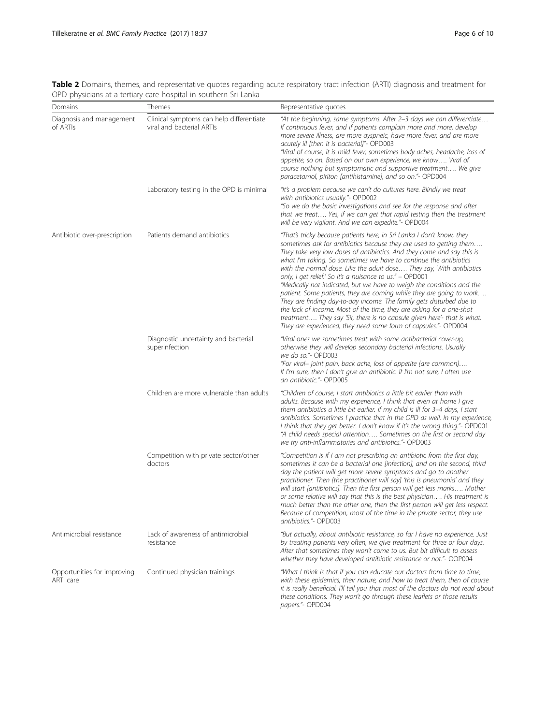<span id="page-5-0"></span>Table 2 Domains, themes, and representative quotes regarding acute respiratory tract infection (ARTI) diagnosis and treatment for OPD physicians at a tertiary care hospital in southern Sri Lanka

| Domains                                  | Themes                                                                | Representative quotes                                                                                                                                                                                                                                                                                                                                                                                                                                                                                                                                                                                                                                                                                                                                                                                                                                                           |
|------------------------------------------|-----------------------------------------------------------------------|---------------------------------------------------------------------------------------------------------------------------------------------------------------------------------------------------------------------------------------------------------------------------------------------------------------------------------------------------------------------------------------------------------------------------------------------------------------------------------------------------------------------------------------------------------------------------------------------------------------------------------------------------------------------------------------------------------------------------------------------------------------------------------------------------------------------------------------------------------------------------------|
| Diagnosis and management<br>of ARTIs     | Clinical symptoms can help differentiate<br>viral and bacterial ARTIs | "At the beginning, same symptoms. After 2-3 days we can differentiate<br>If continuous fever, and if patients complain more and more, develop<br>more severe illness, are more dyspneic, have more fever, and are more<br>acutely ill [then it is bacterial]"- OPD003<br>"Viral of course, it is mild fever, sometimes body aches, headache, loss of<br>appetite, so on. Based on our own experience, we know Viral of<br>course nothing but symptomatic and supportive treatment We give<br>paracetamol, piriton [antihistamine], and so on."- OPD004                                                                                                                                                                                                                                                                                                                          |
|                                          | Laboratory testing in the OPD is minimal                              | "It's a problem because we can't do cultures here. Blindly we treat<br>with antibiotics usually."- OPD002<br>"So we do the basic investigations and see for the response and after<br>that we treat Yes, if we can get that rapid testing then the treatment<br>will be very vigilant. And we can expedite."- OPD004                                                                                                                                                                                                                                                                                                                                                                                                                                                                                                                                                            |
| Antibiotic over-prescription             | Patients demand antibiotics                                           | "That's tricky because patients here, in Sri Lanka I don't know, they<br>sometimes ask for antibiotics because they are used to getting them<br>They take very low doses of antibiotics. And they come and say this is<br>what I'm taking. So sometimes we have to continue the antibiotics<br>with the normal dose. Like the adult dose They say, 'With antibiotics<br>only, I get relief.' So it's a nuisance to us." - OPD001<br>"Medically not indicated, but we have to weigh the conditions and the<br>patient. Some patients, they are coming while they are going to work<br>They are finding day-to-day income. The family gets disturbed due to<br>the lack of income. Most of the time, they are asking for a one-shot<br>treatment They say 'Sir, there is no capsule given here'- that is what.<br>They are experienced, they need some form of capsules."- OPD004 |
|                                          | Diagnostic uncertainty and bacterial<br>superinfection                | "Viral ones we sometimes treat with some antibacterial cover-up,<br>otherwise they will develop secondary bacterial infections. Usually<br>we do so."- OPD003<br>"For viral- joint pain, back ache, loss of appetite [are common]<br>If I'm sure, then I don't give an antibiotic. If I'm not sure, I often use<br>an antibiotic."- OPD005                                                                                                                                                                                                                                                                                                                                                                                                                                                                                                                                      |
|                                          | Children are more vulnerable than adults                              | "Children of course, I start antibiotics a little bit earlier than with<br>adults. Because with my experience, I think that even at home I give<br>them antibiotics a little bit earlier. If my child is ill for 3-4 days, I start<br>antibiotics. Sometimes I practice that in the OPD as well. In my experience,<br>I think that they get better. I don't know if it's the wrong thing."- OPD001<br>"A child needs special attention Sometimes on the first or second day<br>we try anti-inflammatories and antibiotics."- OPD003                                                                                                                                                                                                                                                                                                                                             |
|                                          | Competition with private sector/other<br>doctors                      | "Competition is if I am not prescribing an antibiotic from the first day,<br>sometimes it can be a bacterial one [infection], and on the second, third<br>day the patient will get more severe symptoms and go to another<br>practitioner. Then [the practitioner will say] 'this is pneumonia' and they<br>will start [antibiotics]. Then the first person will get less marks Mother<br>or some relative will say that this is the best physician His treatment is<br>much better than the other one, then the first person will get less respect.<br>Because of competition, most of the time in the private sector, they use<br>antibiotics."- OPD003                                                                                                                                                                                                                       |
| Antimicrobial resistance                 | Lack of awareness of antimicrobial<br>resistance                      | "But actually, about antibiotic resistance, so far I have no experience. Just<br>by treating patients very often, we give treatment for three or four days.<br>After that sometimes they won't come to us. But bit difficult to assess<br>whether they have developed antibiotic resistance or not."- OOP004                                                                                                                                                                                                                                                                                                                                                                                                                                                                                                                                                                    |
| Opportunities for improving<br>ARTI care | Continued physician trainings                                         | "What I think is that if you can educate our doctors from time to time,<br>with these epidemics, their nature, and how to treat them, then of course<br>it is really beneficial. I'll tell you that most of the doctors do not read about<br>these conditions. They won't go through these leaflets or those results<br>papers."- OPD004                                                                                                                                                                                                                                                                                                                                                                                                                                                                                                                                        |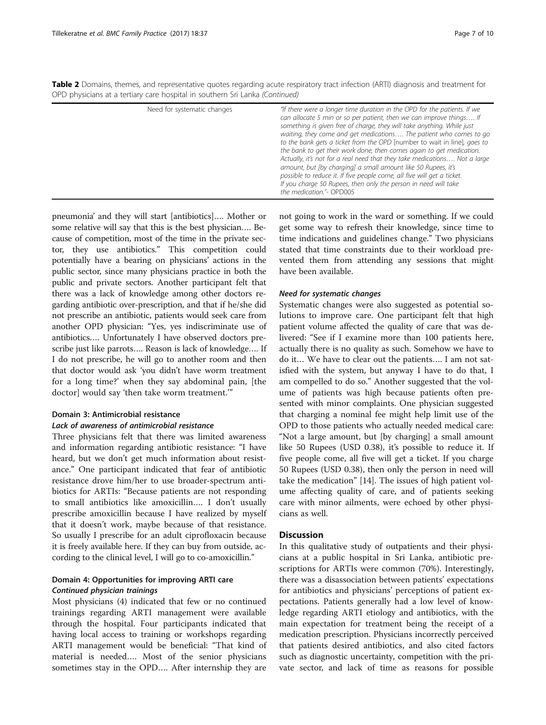Table 2 Domains, themes, and representative quotes regarding acute respiratory tract infection (ARTI) diagnosis and treatment for OPD physicians at a tertiary care hospital in southern Sri Lanka (Continued)

| "If there were a longer time duration in the OPD for the patients. If we<br>Need for systematic changes<br>can allocate 5 min or so per patient, then we can improve things If<br>something is given free of charge, they will take anything. While just<br>waiting, they come and get medications The patient who comes to go<br>to the bank gets a ticket from the OPD [number to wait in line], goes to<br>the bank to get their work done, then comes again to get medication.<br>Actually, it's not for a real need that they take medications Not a large<br>amount, but [by charging] a small amount like 50 Rupees, it's<br>possible to reduce it. If five people come, all five will get a ticket.<br>If you charge 50 Rupees, then only the person in need will take |                          |
|--------------------------------------------------------------------------------------------------------------------------------------------------------------------------------------------------------------------------------------------------------------------------------------------------------------------------------------------------------------------------------------------------------------------------------------------------------------------------------------------------------------------------------------------------------------------------------------------------------------------------------------------------------------------------------------------------------------------------------------------------------------------------------|--------------------------|
|                                                                                                                                                                                                                                                                                                                                                                                                                                                                                                                                                                                                                                                                                                                                                                                | the medication."- OPD005 |

pneumonia' and they will start [antibiotics]…. Mother or some relative will say that this is the best physician…. Because of competition, most of the time in the private sector, they use antibiotics." This competition could potentially have a bearing on physicians' actions in the public sector, since many physicians practice in both the public and private sectors. Another participant felt that there was a lack of knowledge among other doctors regarding antibiotic over-prescription, and that if he/she did not prescribe an antibiotic, patients would seek care from another OPD physician: "Yes, yes indiscriminate use of antibiotics…. Unfortunately I have observed doctors prescribe just like parrots…. Reason is lack of knowledge…. If I do not prescribe, he will go to another room and then that doctor would ask 'you didn't have worm treatment for a long time?' when they say abdominal pain, [the doctor] would say 'then take worm treatment.'"

## Domain 3: Antimicrobial resistance

## Lack of awareness of antimicrobial resistance

Three physicians felt that there was limited awareness and information regarding antibiotic resistance: "I have heard, but we don't get much information about resistance." One participant indicated that fear of antibiotic resistance drove him/her to use broader-spectrum antibiotics for ARTIs: "Because patients are not responding to small antibiotics like amoxicillin…. I don't usually prescribe amoxicillin because I have realized by myself that it doesn't work, maybe because of that resistance. So usually I prescribe for an adult ciprofloxacin because it is freely available here. If they can buy from outside, according to the clinical level, I will go to co-amoxicillin."

## Domain 4: Opportunities for improving ARTI care Continued physician trainings

Most physicians (4) indicated that few or no continued trainings regarding ARTI management were available through the hospital. Four participants indicated that having local access to training or workshops regarding ARTI management would be beneficial: "That kind of material is needed…. Most of the senior physicians sometimes stay in the OPD…. After internship they are

not going to work in the ward or something. If we could get some way to refresh their knowledge, since time to time indications and guidelines change." Two physicians stated that time constraints due to their workload prevented them from attending any sessions that might have been available.

#### Need for systematic changes

Systematic changes were also suggested as potential solutions to improve care. One participant felt that high patient volume affected the quality of care that was delivered: "See if I examine more than 100 patients here, actually there is no quality as such. Somehow we have to do it… We have to clear out the patients…. I am not satisfied with the system, but anyway I have to do that, I am compelled to do so." Another suggested that the volume of patients was high because patients often presented with minor complaints. One physician suggested that charging a nominal fee might help limit use of the OPD to those patients who actually needed medical care: "Not a large amount, but [by charging] a small amount like 50 Rupees (USD 0.38), it's possible to reduce it. If five people come, all five will get a ticket. If you charge 50 Rupees (USD 0.38), then only the person in need will take the medication" [[14](#page-8-0)]. The issues of high patient volume affecting quality of care, and of patients seeking care with minor ailments, were echoed by other physicians as well.

## **Discussion**

In this qualitative study of outpatients and their physicians at a public hospital in Sri Lanka, antibiotic prescriptions for ARTIs were common (70%). Interestingly, there was a disassociation between patients' expectations for antibiotics and physicians' perceptions of patient expectations. Patients generally had a low level of knowledge regarding ARTI etiology and antibiotics, with the main expectation for treatment being the receipt of a medication prescription. Physicians incorrectly perceived that patients desired antibiotics, and also cited factors such as diagnostic uncertainty, competition with the private sector, and lack of time as reasons for possible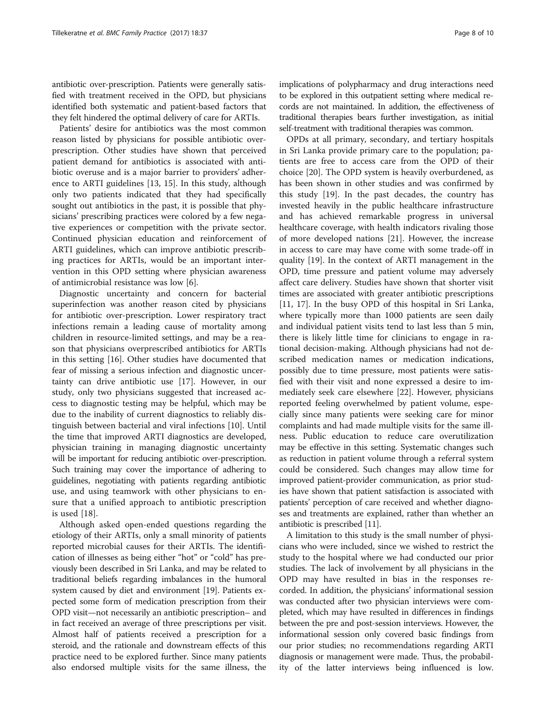antibiotic over-prescription. Patients were generally satisfied with treatment received in the OPD, but physicians identified both systematic and patient-based factors that they felt hindered the optimal delivery of care for ARTIs.

Patients' desire for antibiotics was the most common reason listed by physicians for possible antibiotic overprescription. Other studies have shown that perceived patient demand for antibiotics is associated with antibiotic overuse and is a major barrier to providers' adherence to ARTI guidelines [[13](#page-8-0), [15\]](#page-8-0). In this study, although only two patients indicated that they had specifically sought out antibiotics in the past, it is possible that physicians' prescribing practices were colored by a few negative experiences or competition with the private sector. Continued physician education and reinforcement of ARTI guidelines, which can improve antibiotic prescribing practices for ARTIs, would be an important intervention in this OPD setting where physician awareness of antimicrobial resistance was low [\[6](#page-8-0)].

Diagnostic uncertainty and concern for bacterial superinfection was another reason cited by physicians for antibiotic over-prescription. Lower respiratory tract infections remain a leading cause of mortality among children in resource-limited settings, and may be a reason that physicians overprescribed antibiotics for ARTIs in this setting [\[16](#page-9-0)]. Other studies have documented that fear of missing a serious infection and diagnostic uncertainty can drive antibiotic use [\[17\]](#page-9-0). However, in our study, only two physicians suggested that increased access to diagnostic testing may be helpful, which may be due to the inability of current diagnostics to reliably distinguish between bacterial and viral infections [[10](#page-8-0)]. Until the time that improved ARTI diagnostics are developed, physician training in managing diagnostic uncertainty will be important for reducing antibiotic over-prescription. Such training may cover the importance of adhering to guidelines, negotiating with patients regarding antibiotic use, and using teamwork with other physicians to ensure that a unified approach to antibiotic prescription is used [\[18](#page-9-0)].

Although asked open-ended questions regarding the etiology of their ARTIs, only a small minority of patients reported microbial causes for their ARTIs. The identification of illnesses as being either "hot" or "cold" has previously been described in Sri Lanka, and may be related to traditional beliefs regarding imbalances in the humoral system caused by diet and environment [[19](#page-9-0)]. Patients expected some form of medication prescription from their OPD visit—not necessarily an antibiotic prescription– and in fact received an average of three prescriptions per visit. Almost half of patients received a prescription for a steroid, and the rationale and downstream effects of this practice need to be explored further. Since many patients also endorsed multiple visits for the same illness, the implications of polypharmacy and drug interactions need to be explored in this outpatient setting where medical records are not maintained. In addition, the effectiveness of traditional therapies bears further investigation, as initial self-treatment with traditional therapies was common.

OPDs at all primary, secondary, and tertiary hospitals in Sri Lanka provide primary care to the population; patients are free to access care from the OPD of their choice [\[20\]](#page-9-0). The OPD system is heavily overburdened, as has been shown in other studies and was confirmed by this study [\[19](#page-9-0)]. In the past decades, the country has invested heavily in the public healthcare infrastructure and has achieved remarkable progress in universal healthcare coverage, with health indicators rivaling those of more developed nations [\[21\]](#page-9-0). However, the increase in access to care may have come with some trade-off in quality [[19\]](#page-9-0). In the context of ARTI management in the OPD, time pressure and patient volume may adversely affect care delivery. Studies have shown that shorter visit times are associated with greater antibiotic prescriptions [[11,](#page-8-0) [17](#page-9-0)]. In the busy OPD of this hospital in Sri Lanka, where typically more than 1000 patients are seen daily and individual patient visits tend to last less than 5 min, there is likely little time for clinicians to engage in rational decision-making. Although physicians had not described medication names or medication indications, possibly due to time pressure, most patients were satisfied with their visit and none expressed a desire to immediately seek care elsewhere [\[22\]](#page-9-0). However, physicians reported feeling overwhelmed by patient volume, especially since many patients were seeking care for minor complaints and had made multiple visits for the same illness. Public education to reduce care overutilization may be effective in this setting. Systematic changes such as reduction in patient volume through a referral system could be considered. Such changes may allow time for improved patient-provider communication, as prior studies have shown that patient satisfaction is associated with patients' perception of care received and whether diagnoses and treatments are explained, rather than whether an antibiotic is prescribed [\[11\]](#page-8-0).

A limitation to this study is the small number of physicians who were included, since we wished to restrict the study to the hospital where we had conducted our prior studies. The lack of involvement by all physicians in the OPD may have resulted in bias in the responses recorded. In addition, the physicians' informational session was conducted after two physician interviews were completed, which may have resulted in differences in findings between the pre and post-session interviews. However, the informational session only covered basic findings from our prior studies; no recommendations regarding ARTI diagnosis or management were made. Thus, the probability of the latter interviews being influenced is low.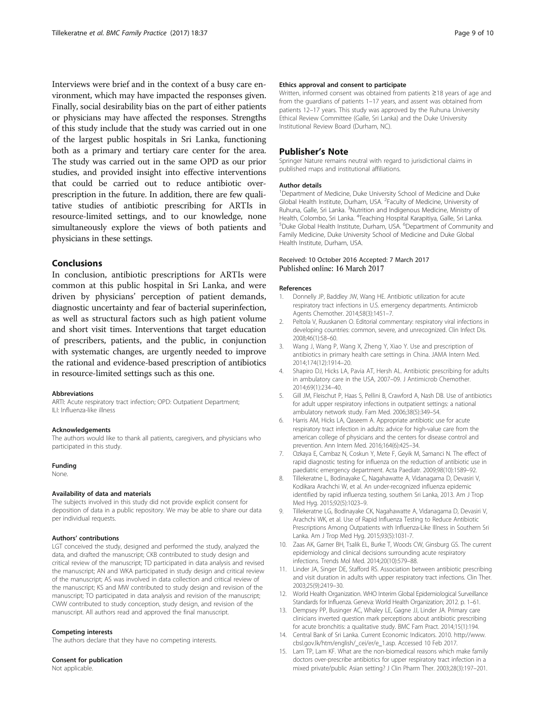<span id="page-8-0"></span>Interviews were brief and in the context of a busy care environment, which may have impacted the responses given. Finally, social desirability bias on the part of either patients or physicians may have affected the responses. Strengths of this study include that the study was carried out in one of the largest public hospitals in Sri Lanka, functioning both as a primary and tertiary care center for the area. The study was carried out in the same OPD as our prior studies, and provided insight into effective interventions that could be carried out to reduce antibiotic overprescription in the future. In addition, there are few qualitative studies of antibiotic prescribing for ARTIs in resource-limited settings, and to our knowledge, none simultaneously explore the views of both patients and physicians in these settings.

## **Conclusions**

In conclusion, antibiotic prescriptions for ARTIs were common at this public hospital in Sri Lanka, and were driven by physicians' perception of patient demands, diagnostic uncertainty and fear of bacterial superinfection, as well as structural factors such as high patient volume and short visit times. Interventions that target education of prescribers, patients, and the public, in conjunction with systematic changes, are urgently needed to improve the rational and evidence-based prescription of antibiotics in resource-limited settings such as this one.

#### Abbreviations

ARTI: Acute respiratory tract infection; OPD: Outpatient Department; ILI: Influenza-like illness

#### Acknowledgements

The authors would like to thank all patients, caregivers, and physicians who participated in this study.

#### Funding

None.

#### Availability of data and materials

The subjects involved in this study did not provide explicit consent for deposition of data in a public repository. We may be able to share our data per individual requests.

#### Authors' contributions

LGT conceived the study, designed and performed the study, analyzed the data, and drafted the manuscript; CKB contributed to study design and critical review of the manuscript; TD participated in data analysis and revised the manuscript; AN and WKA participated in study design and critical review of the manuscript; AS was involved in data collection and critical review of the manuscript; KS and MW contributed to study design and revision of the manuscript; TO participated in data analysis and revision of the manuscript; CWW contributed to study conception, study design, and revision of the manuscript. All authors read and approved the final manuscript.

#### Competing interests

The authors declare that they have no competing interests.

#### Consent for publication

Not applicable.

#### Ethics approval and consent to participate

Written, informed consent was obtained from patients ≥18 years of age and from the guardians of patients 1–17 years, and assent was obtained from patients 12–17 years. This study was approved by the Ruhuna University Ethical Review Committee (Galle, Sri Lanka) and the Duke University Institutional Review Board (Durham, NC).

#### Publisher's Note

Springer Nature remains neutral with regard to jurisdictional claims in published maps and institutional affiliations.

#### Author details

<sup>1</sup>Department of Medicine, Duke University School of Medicine and Duke Global Health Institute, Durham, USA. <sup>2</sup> Faculty of Medicine, University of Ruhuna, Galle, Sri Lanka. <sup>3</sup>Nutrition and Indigenous Medicine, Ministry of Health, Colombo, Sri Lanka. <sup>4</sup> Teaching Hospital Karapitiya, Galle, Sri Lanka.<br><sup>5</sup> Duke Global Hoalth Institute. Durbam, USA. <sup>6</sup> Department of Community. Duke Global Health Institute, Durham, USA. <sup>6</sup>Department of Community and Family Medicine, Duke University School of Medicine and Duke Global Health Institute, Durham, USA.

#### Received: 10 October 2016 Accepted: 7 March 2017 Published online: 16 March 2017

#### References

- 1. Donnelly JP, Baddley JW, Wang HE. Antibiotic utilization for acute respiratory tract infections in U.S. emergency departments. Antimicrob Agents Chemother. 2014;58(3):1451–7.
- 2. Peltola V, Ruuskanen O. Editorial commentary: respiratory viral infections in developing countries: common, severe, and unrecognized. Clin Infect Dis. 2008;46(1):58–60.
- 3. Wang J, Wang P, Wang X, Zheng Y, Xiao Y. Use and prescription of antibiotics in primary health care settings in China. JAMA Intern Med. 2014;174(12):1914–20.
- 4. Shapiro DJ, Hicks LA, Pavia AT, Hersh AL. Antibiotic prescribing for adults in ambulatory care in the USA, 2007–09. J Antimicrob Chemother. 2014;69(1):234–40.
- 5. Gill JM, Fleischut P, Haas S, Pellini B, Crawford A, Nash DB. Use of antibiotics for adult upper respiratory infections in outpatient settings: a national ambulatory network study. Fam Med. 2006;38(5):349–54.
- Harris AM, Hicks LA, Qaseem A. Appropriate antibiotic use for acute respiratory tract infection in adults: advice for high-value care from the american college of physicians and the centers for disease control and prevention. Ann Intern Med. 2016;164(6):425–34.
- 7. Ozkaya E, Cambaz N, Coskun Y, Mete F, Geyik M, Samanci N. The effect of rapid diagnostic testing for influenza on the reduction of antibiotic use in paediatric emergency department. Acta Paediatr. 2009;98(10):1589–92.
- 8. Tillekeratne L, Bodinayake C, Nagahawatte A, Vidanagama D, Devasiri V, Kodikara Arachchi W, et al. An under-recognized influenza epidemic identified by rapid influenza testing, southern Sri Lanka, 2013. Am J Trop Med Hyg. 2015;92(5):1023–9.
- 9. Tillekeratne LG, Bodinayake CK, Nagahawatte A, Vidanagama D, Devasiri V, Arachchi WK, et al. Use of Rapid Influenza Testing to Reduce Antibiotic Prescriptions Among Outpatients with Influenza-Like Illness in Southern Sri Lanka. Am J Trop Med Hyg. 2015;93(5):1031-7.
- 10. Zaas AK, Garner BH, Tsalik EL, Burke T, Woods CW, Ginsburg GS. The current epidemiology and clinical decisions surrounding acute respiratory infections. Trends Mol Med. 2014;20(10):579–88.
- 11. Linder JA, Singer DE, Stafford RS. Association between antibiotic prescribing and visit duration in adults with upper respiratory tract infections. Clin Ther. 2003;25(9):2419–30.
- 12. World Health Organization. WHO Interim Global Epidemiological Surveillance Standards for Influenza. Geneva: World Health Organization; 2012. p. 1–61.
- 13. Dempsey PP, Businger AC, Whaley LE, Gagne JJ, Linder JA. Primary care clinicians inverted question mark perceptions about antibiotic prescribing for acute bronchitis: a qualitative study. BMC Fam Pract. 2014;15(1):194.
- 14. Central Bank of Sri Lanka. Current Economic Indicators. 2010. [http://www.](http://www.cbsl.gov.lk/htm/english/_cei/er/e_1.asp) [cbsl.gov.lk/htm/english/\\_cei/er/e\\_1.asp](http://www.cbsl.gov.lk/htm/english/_cei/er/e_1.asp). Accessed 10 Feb 2017.
- 15. Lam TP, Lam KF. What are the non-biomedical reasons which make family doctors over-prescribe antibiotics for upper respiratory tract infection in a mixed private/public Asian setting? J Clin Pharm Ther. 2003;28(3):197–201.